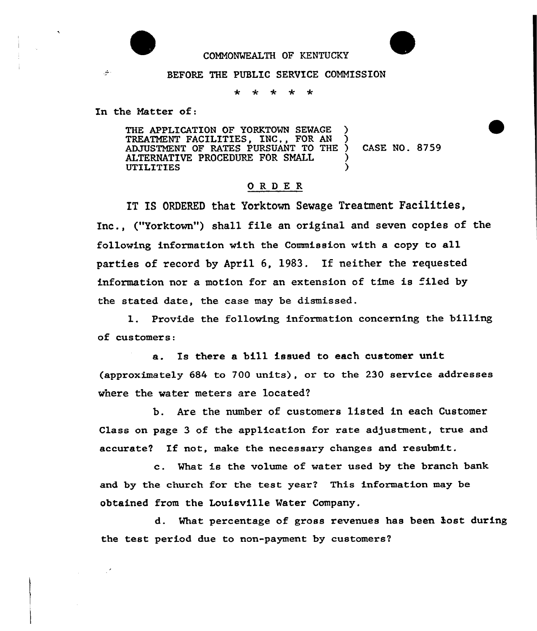

## COMMONWEALTH OF KENTUCKY

## BEFORE THE PUBLIC SERVICE COMMISSION

\* \* \* \*

In the Natter of:

THE APPLICATION OF YORKTOWN SEWAGE TREATMENT FACILITIES, INC., FOR AN ) ADJUSTMENT OF RATES PURSUANT TO THE ) ALTERNATIVE PROCEDURE FOR SMALL **UTILITIES** CASE NO. 8759

## ORDER

IT IS ORDERED that Yorktown Sewage Treatment Facilities, Inc., ("Yorktown") shall file an original and seven copies of the following information with the Commission with a copy to all parties of record by April 6, 1983. If neither the requested information nor a motion for an extension of time is filed by the stated date, the case may be dismissed.

1. Provide the following information concerning the billing of customers:

a. Is there a bill issued to each customer unit (approximately 684 to 700 units), or to the 230 service addresses where the water meters are located?

b. Are the number of customers listed in each Customer Class on page 3 of the application for rate adjustment, true and accurate? If not, make the necessary changes and resubmit.

c. What is the volume of water used by the branch bank and by the church for the test year? This information may be obtained from the Louisville Water Company.

d. What percentage of gross revenues has been lost during the test period due to non-payment by customers'

 $\mathcal{L}_{\mathcal{L}}$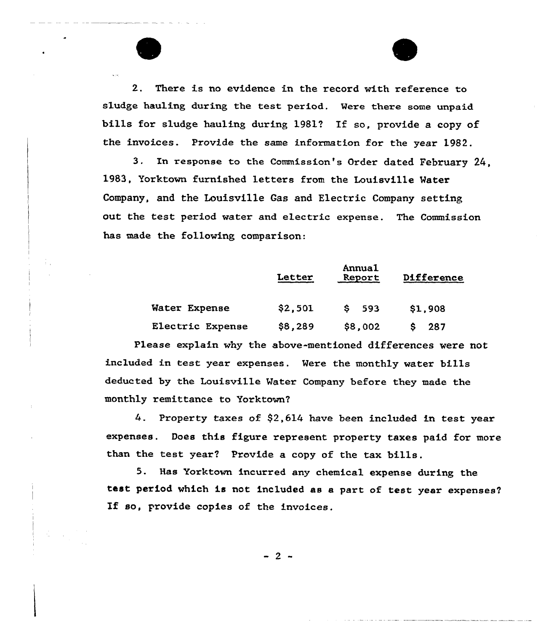2. There is no evidence in the record with reference to sludge hauling during the test period. Mere there some unpaid bills for sludge hauling during 1981? If so, provide a copy of the invoices. Provide the same information for the year 1982.

3. In response to the Commission's Order dated February 24, 1983, Yorktown furnished letters from the Louisville Mater Company, and the Louisville Gas and Electric Company setting out the test period water and electric expense. The Commission has made the following comparison:

|                  | <b>Letter</b> | Annual<br>Report | Difference |
|------------------|---------------|------------------|------------|
| Water Expense    | \$2,501       | 593<br>s         | \$1,908    |
| Electric Expense | \$8,289       | \$8,002          | 287        |

Please explain why the above-mentioned differences were not included in test year expenses. Mere the monthly water bills deducted by the Louisville Mater Company before they made the monthly remittance to Yorktown?

4. Property taxes of  $$2,614$  have been included in test year expenses. Does this figure represent property taxes paid for more than the test year'? Provide a copy of the tax bills.

5. Has Yorktown incurred any chemical expense during the test period which is not included as a part of test year expenses? If so, provide copies of the invoices.

 $-2-$